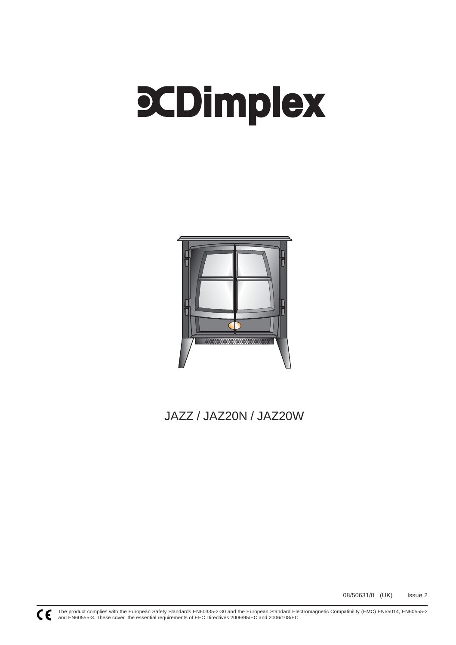# **PCDimplex**



# JAZZ / JAZ20N / JAZ20W

08/50631/0 (UK) Issue 2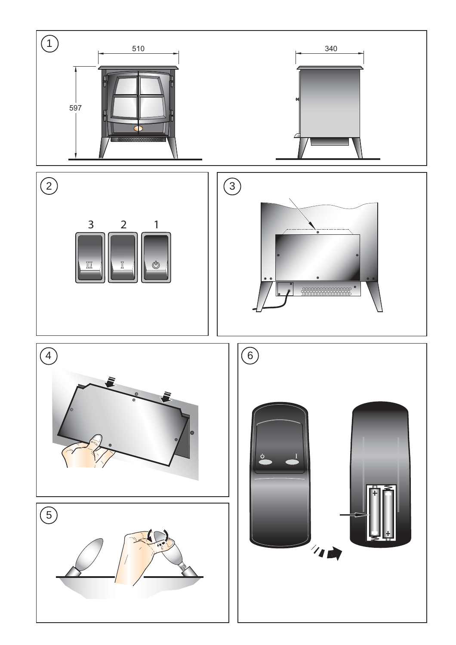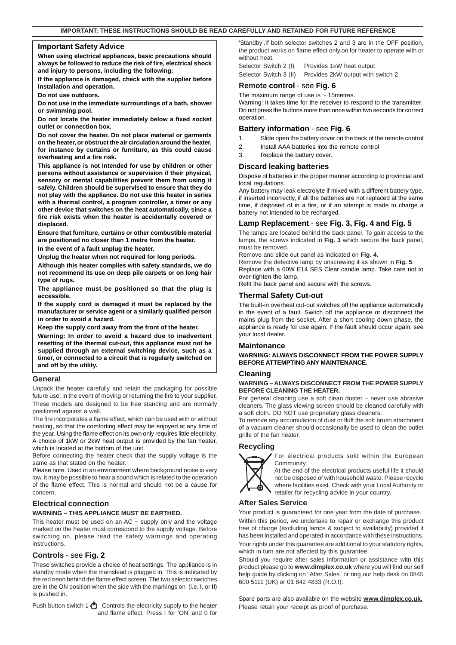#### **Important Safety Advice**

**When using electrical appliances, basic precautions should always be followed to reduce the risk of fire, electrical shock and injury to persons, including the following:**

**If the appliance is damaged, check with the supplier before installation and operation.**

**Do not use outdoors.**

**Do not use in the immediate surroundings of a bath, shower or swimming pool.**

**Do not locate the heater immediately below a fixed socket outlet or connection box.**

**Do not cover the heater. Do not place material or garments on the heater, or obstruct the air circulation around the heater, for instance by curtains or furniture, as this could cause overheating and a fire risk.**

**This appliance is not intended for use by children or other persons without assistance or supervision if their physical, sensory or mental capabilities prevent them from using it safely. Children should be supervised to ensure that they do not play with the appliance. Do not use this heater in series with a thermal control, a program controller, a timer or any other device that switches on the heat automatically, since a fire risk exists when the heater is accidentally covered or displaced.**

**Ensure that furniture, curtains or other combustible material are positioned no closer than 1 metre from the heater.**

**In the event of a fault unplug the heater.**

**Unplug the heater when not required for long periods.**

**Although this heater complies with safety standards, we do not recommend its use on deep pile carpets or on long hair type of rugs.**

**The appliance must be positioned so that the plug is accessible.**

**If the supply cord is damaged it must be replaced by the manufacturer or service agent or a similarly qualified person in order to avoid a hazard.**

**Keep the supply cord away from the front of the heater.**

**Warning: In order to avoid a hazard due to inadvertent resetting of the thermal cut-out, this appliance must not be supplied through an external switching device, such as a timer, or connected to a circuit that is regularly switched on and off by the utility.**

#### **General**

Unpack the heater carefully and retain the packaging for possible future use, in the event of moving or returning the fire to your supplier. These models are designed to be free standing and are normally positioned against a wall.

The fire incorporates a flame effect, which can be used with or without heating, so that the comforting effect may be enjoyed at any time of the year. Using the flame effect on its own only requires little electricity. A choice of 1kW or 2kW heat output is provided by the fan heater, which is located at the bottom of the unit.

Before connecting the heater check that the supply voltage is the same as that stated on the heater.

Please note: Used in an environment where background noise is very low, it may be possible to hear a sound which is related to the operation of the flame effect. This is normal and should not be a cause for concern.

#### **Electrical connection**

#### **WARNING – THIS APPLIANCE MUST BE EARTHED.**

This heater must be used on an  $AC \sim$  supply only and the voltage marked on the heater must correspond to the supply voltage. Before switching on, please read the safety warnings and operating instructions.

#### **Controls** - see **Fig. 2**

These switches provide a choice of heat settings, The appliance is in standby mode when the mainslead is plugged in. This is indicated by the red neon behind the flame effect screen. The two selector switches are in the ON position when the side with the markings on (i.e. **I**, or **II**) is pushed in.

Push button switch 1  $\bigcirc$  Controls the electricity supply to the heater and flame effect. Press I for 'ON' and 0 for 'Standby'.If both selector switches 2 and 3 are in the OFF position, the product works on flame effect only.on for heater to operate with or without heat.

Selector Switch 2 (I) Provides 1kW heat output

Selector Switch 3 (II) Provides 2kW output with switch 2

#### **Remote control** - see **Fig. 6**

The maximum range of use is  $\sim$  15 metres.

Warning: It takes time for the receiver to respond to the transmitter. Do not press the buttons more than once within two seconds for correct operation.

### **Battery information** - see **Fig. 6**

- 1. Slide open the battery cover on the back of the remote control
- 2. Install AAA batteries into the remote control
- 3. Replace the battery cover.

### **Discard leaking batteries**

Dispose of batteries in the proper manner according to provincial and local regulations.

Any battery may leak electrolyte if mixed with a different battery type, if inserted incorrectly, if all the batteries are not replaced at the same time, if disposed of in a fire, or if an attempt is made to charge a battery not intended to be recharged.

### **Lamp Replacement** - see **Fig. 3, Fig. 4 and Fig. 5**

The lamps are located behind the back panel. To gain access to the lamps, the screws indicated in **Fig. 3** which secure the back panel, must be removed.

Remove and slide out panel as indicated on **Fig. 4**.

Remove the defective lamp by unscrewing it as shown in **Fig. 5**.

Replace with a 60W E14 SES Clear candle lamp. Take care not to over-tighten the lamp.

Refit the back panel and secure with the screws.

#### **Thermal Safety Cut-out**

The built-in overheat cut-out switches off the appliance automatically in the event of a fault. Switch off the appliance or disconnect the mains plug from the socket. After a short cooling down phase, the appliance is ready for use again. If the fault should occur again, see your local dealer.

#### **Maintenance**

**WARNING: ALWAYS DISCONNECT FROM THE POWER SUPPLY BEFORE ATTEMPTING ANY MAINTENANCE.**

#### **Cleaning**

#### **WARNING – ALWAYS DISCONNECT FROM THE POWER SUPPLY BEFORE CLEANING THE HEATER.**

For general cleaning use a soft clean duster – never use abrasive cleaners. The glass viewing screen should be cleaned carefully with a soft cloth. DO NOT use proprietary glass cleaners.

To remove any accumulation of dust or fluff the soft brush attachment of a vacuum cleaner should occasionally be used to clean the outlet grille of the fan heater.

# **Recycling**



For electrical products sold within the European Community.

At the end of the electrical products useful life it should not be disposed of with household waste. Please recycle where facilities exist. Check with your Local Authority or retailer for recycling advice in your country.

# **After Sales Service**

Your product is guaranteed for one year from the date of purchase. Within this period, we undertake to repair or exchange this product free of charge (excluding lamps & subject to availability) provided it has been installed and operated in accordance with these instructions. Your rights under this guarantee are additional to your statutory rights,

which in turn are not affected by this guarantee.

Should you require after sales information or assistance witn this product please go to **www.dimplex.co.uk** where you will find our self help guide by clicking on "After Sales" or ring our help desk on 0845 600 5111 (UK) or 01 842 4833 (R.O.I).

Spare parts are also available on the website **www.dimplex.co.uk.** Please retain your receipt as proof of purchase.